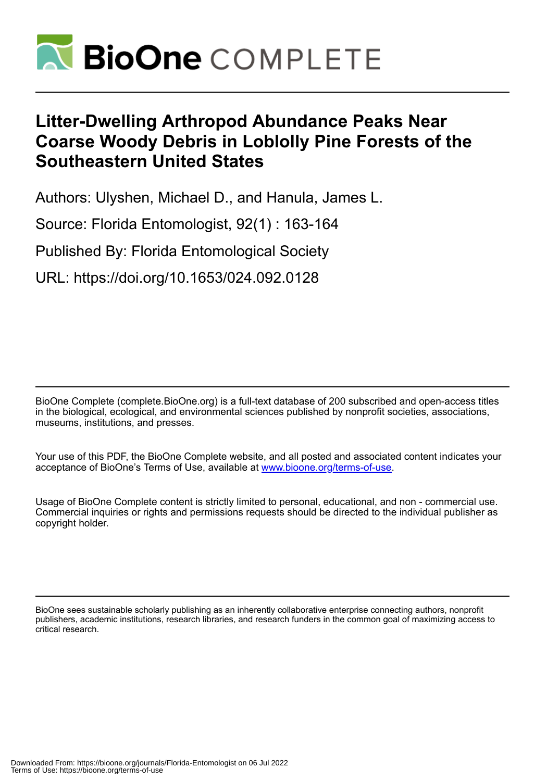

## **Litter-Dwelling Arthropod Abundance Peaks Near Coarse Woody Debris in Loblolly Pine Forests of the Southeastern United States**

Authors: Ulyshen, Michael D., and Hanula, James L.

Source: Florida Entomologist, 92(1) : 163-164

Published By: Florida Entomological Society

URL: https://doi.org/10.1653/024.092.0128

BioOne Complete (complete.BioOne.org) is a full-text database of 200 subscribed and open-access titles in the biological, ecological, and environmental sciences published by nonprofit societies, associations, museums, institutions, and presses.

Your use of this PDF, the BioOne Complete website, and all posted and associated content indicates your acceptance of BioOne's Terms of Use, available at www.bioone.org/terms-of-use.

Usage of BioOne Complete content is strictly limited to personal, educational, and non - commercial use. Commercial inquiries or rights and permissions requests should be directed to the individual publisher as copyright holder.

BioOne sees sustainable scholarly publishing as an inherently collaborative enterprise connecting authors, nonprofit publishers, academic institutions, research libraries, and research funders in the common goal of maximizing access to critical research.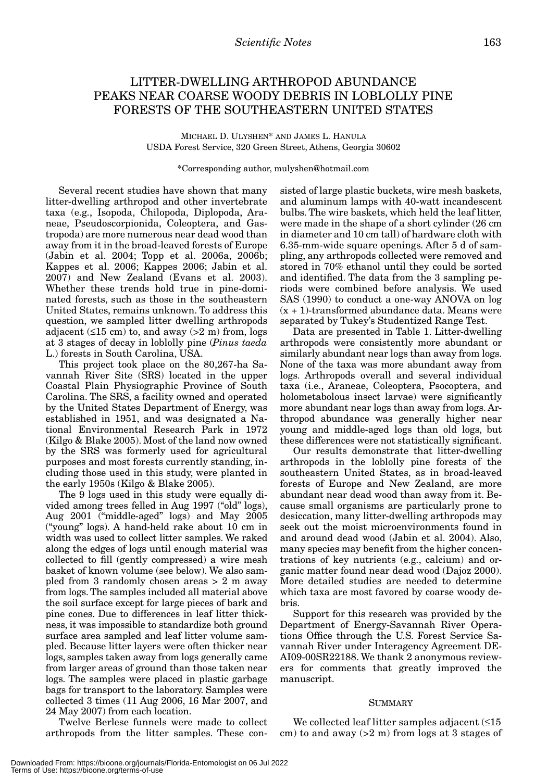## LITTER-DWELLING ARTHROPOD ABUNDANCE PEAKS NEAR COARSE WOODY DEBRIS IN LOBLOLLY PINE FORESTS OF THE SOUTHEASTERN UNITED STATES

MICHAEL D. ULYSHEN\* AND JAMES L. HANULA USDA Forest Service, 320 Green Street, Athens, Georgia 30602

\*Corresponding author, mulyshen@hotmail.com

Several recent studies have shown that many litter-dwelling arthropod and other invertebrate taxa (e.g., Isopoda, Chilopoda, Diplopoda, Araneae, Pseudoscorpionida, Coleoptera, and Gastropoda) are more numerous near dead wood than away from it in the broad-leaved forests of Europe (Jabin et al. 2004; Topp et al. 2006a, 2006b; Kappes et al. 2006; Kappes 2006; Jabin et al. 2007) and New Zealand (Evans et al. 2003). Whether these trends hold true in pine-dominated forests, such as those in the southeastern United States, remains unknown. To address this question, we sampled litter dwelling arthropods adjacent  $(\leq 15$  cm) to, and away  $(>2$  m) from, logs at 3 stages of decay in loblolly pine (*Pinus taeda* L.) forests in South Carolina, USA.

This project took place on the 80,267-ha Savannah River Site (SRS) located in the upper Coastal Plain Physiographic Province of South Carolina. The SRS, a facility owned and operated by the United States Department of Energy, was established in 1951, and was designated a National Environmental Research Park in 1972 (Kilgo & Blake 2005). Most of the land now owned by the SRS was formerly used for agricultural purposes and most forests currently standing, including those used in this study, were planted in the early 1950s (Kilgo & Blake 2005).

The 9 logs used in this study were equally divided among trees felled in Aug 1997 ("old" logs), Aug 2001 ("middle-aged" logs) and May 2005 ("young" logs). A hand-held rake about 10 cm in width was used to collect litter samples. We raked along the edges of logs until enough material was collected to fill (gently compressed) a wire mesh basket of known volume (see below). We also sampled from 3 randomly chosen areas > 2 m away from logs. The samples included all material above the soil surface except for large pieces of bark and pine cones. Due to differences in leaf litter thickness, it was impossible to standardize both ground surface area sampled and leaf litter volume sampled. Because litter layers were often thicker near logs, samples taken away from logs generally came from larger areas of ground than those taken near logs. The samples were placed in plastic garbage bags for transport to the laboratory. Samples were collected 3 times (11 Aug 2006, 16 Mar 2007, and 24 May 2007) from each location.

Twelve Berlese funnels were made to collect arthropods from the litter samples. These consisted of large plastic buckets, wire mesh baskets, and aluminum lamps with 40-watt incandescent bulbs. The wire baskets, which held the leaf litter, were made in the shape of a short cylinder (26 cm in diameter and 10 cm tall) of hardware cloth with 6.35-mm-wide square openings. After 5 d of sampling, any arthropods collected were removed and stored in 70% ethanol until they could be sorted and identified. The data from the 3 sampling periods were combined before analysis. We used SAS (1990) to conduct a one-way ANOVA on log  $(x + 1)$ -transformed abundance data. Means were separated by Tukey's Studentized Range Test.

Data are presented in Table 1. Litter-dwelling arthropods were consistently more abundant or similarly abundant near logs than away from logs. None of the taxa was more abundant away from logs. Arthropods overall and several individual taxa (i.e., Araneae, Coleoptera, Psocoptera, and holometabolous insect larvae) were significantly more abundant near logs than away from logs. Arthropod abundance was generally higher near young and middle-aged logs than old logs, but these differences were not statistically significant.

Our results demonstrate that litter-dwelling arthropods in the loblolly pine forests of the southeastern United States, as in broad-leaved forests of Europe and New Zealand, are more abundant near dead wood than away from it. Because small organisms are particularly prone to desiccation, many litter-dwelling arthropods may seek out the moist microenvironments found in and around dead wood (Jabin et al. 2004). Also, many species may benefit from the higher concentrations of key nutrients (e.g., calcium) and organic matter found near dead wood (Dajoz 2000). More detailed studies are needed to determine which taxa are most favored by coarse woody debris.

Support for this research was provided by the Department of Energy-Savannah River Operations Office through the U.S. Forest Service Savannah River under Interagency Agreement DE-AI09-00SR22188. We thank 2 anonymous reviewers for comments that greatly improved the manuscript.

## SUMMARY

We collected leaf litter samples adjacent (≤15 cm) to and away  $(2 \text{ m})$  from logs at 3 stages of